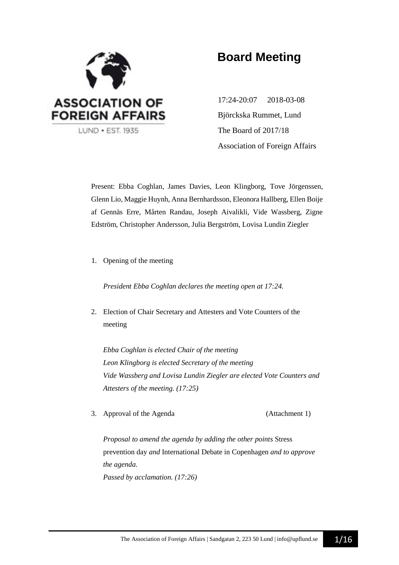

# **Board Meeting**

17:24-20:07 2018-03-08 Björckska Rummet, Lund The Board of 2017/18 Association of Foreign Affairs

Present: Ebba Coghlan, James Davies, Leon Klingborg, Tove Jörgenssen, Glenn Lio, Maggie Huynh, Anna Bernhardsson, Eleonora Hallberg, Ellen Boije af Gennäs Erre, Mårten Randau, Joseph Aivalikli, Vide Wassberg, Zigne Edström, Christopher Andersson, Julia Bergström, Lovisa Lundin Ziegler

1. Opening of the meeting

*President Ebba Coghlan declares the meeting open at 17:24.*

2. Election of Chair Secretary and Attesters and Vote Counters of the meeting

*Ebba Coghlan is elected Chair of the meeting Leon Klingborg is elected Secretary of the meeting Vide Wassberg and Lovisa Lundin Ziegler are elected Vote Counters and Attesters of the meeting. (17:25)*

3. Approval of the Agenda (Attachment 1)

*Proposal to amend the agenda by adding the other points* Stress prevention day *and* International Debate in Copenhagen *and to approve the agenda. Passed by acclamation. (17:26)*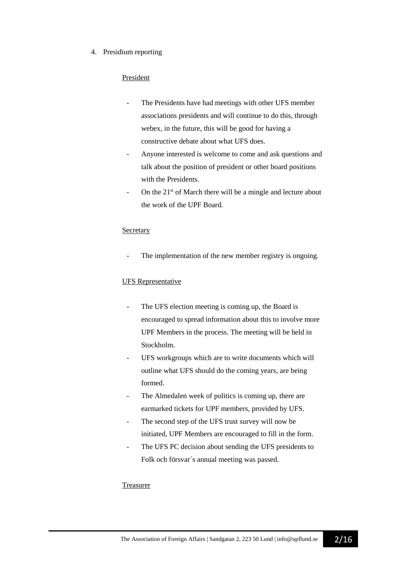#### 4. Presidium reporting

#### President

- The Presidents have had meetings with other UFS member associations presidents and will continue to do this, through webex, in the future, this will be good for having a constructive debate about what UFS does.
- Anyone interested is welcome to come and ask questions and talk about the position of president or other board positions with the Presidents.
- On the 21<sup>st</sup> of March there will be a mingle and lecture about the work of the UPF Board.

#### **Secretary**

The implementation of the new member registry is ongoing.

#### UFS Representative

- The UFS election meeting is coming up, the Board is encouraged to spread information about this to involve more UPF Members in the process. The meeting will be held in Stockholm.
- UFS workgroups which are to write documents which will outline what UFS should do the coming years, are being formed.
- The Almedalen week of politics is coming up, there are earmarked tickets for UPF members, provided by UFS.
- The second step of the UFS trust survey will now be initiated, UPF Members are encouraged to fill in the form.
- The UFS PC decision about sending the UFS presidents to Folk och försvar´s annual meeting was passed.

#### Treasurer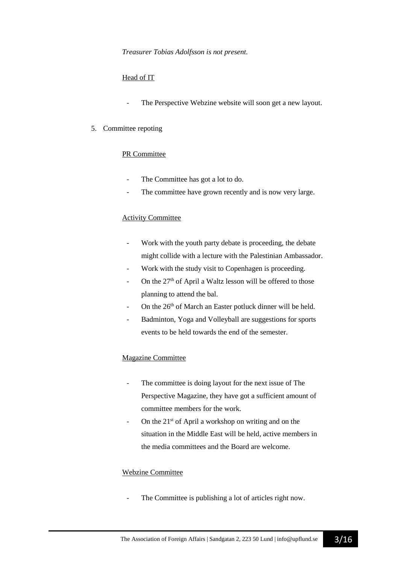#### Head of IT

The Perspective Webzine website will soon get a new layout.

#### 5. Committee repoting

#### PR Committee

- The Committee has got a lot to do.
- The committee have grown recently and is now very large.

#### Activity Committee

- Work with the youth party debate is proceeding, the debate might collide with a lecture with the Palestinian Ambassador.
- Work with the study visit to Copenhagen is proceeding.
- On the  $27<sup>th</sup>$  of April a Waltz lesson will be offered to those planning to attend the bal.
- On the 26<sup>th</sup> of March an Easter potluck dinner will be held.
- Badminton, Yoga and Volleyball are suggestions for sports events to be held towards the end of the semester.

#### Magazine Committee

- The committee is doing layout for the next issue of The Perspective Magazine, they have got a sufficient amount of committee members for the work.
- On the  $21<sup>st</sup>$  of April a workshop on writing and on the situation in the Middle East will be held, active members in the media committees and the Board are welcome.

#### Webzine Committee

The Committee is publishing a lot of articles right now.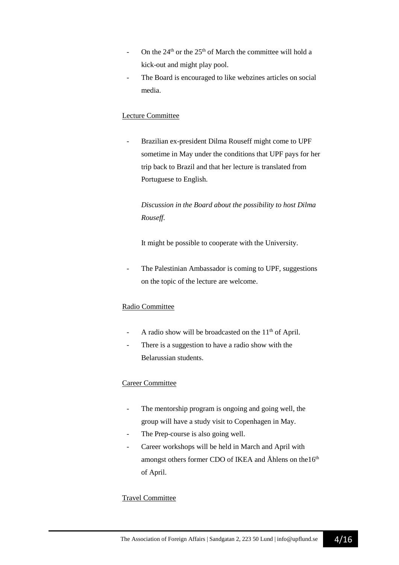- On the  $24<sup>th</sup>$  or the  $25<sup>th</sup>$  of March the committee will hold a kick-out and might play pool.
- The Board is encouraged to like webzines articles on social media.

### Lecture Committee

Brazilian ex-president Dilma Rouseff might come to UPF sometime in May under the conditions that UPF pays for her trip back to Brazil and that her lecture is translated from Portuguese to English.

*Discussion in the Board about the possibility to host Dilma Rouseff.*

It might be possible to cooperate with the University.

The Palestinian Ambassador is coming to UPF, suggestions on the topic of the lecture are welcome.

#### Radio Committee

- A radio show will be broadcasted on the  $11<sup>th</sup>$  of April.
- There is a suggestion to have a radio show with the Belarussian students.

#### Career Committee

- The mentorship program is ongoing and going well, the group will have a study visit to Copenhagen in May.
- The Prep-course is also going well.
- Career workshops will be held in March and April with amongst others former CDO of IKEA and Åhlens on the $16<sup>th</sup>$ of April.

#### Travel Committee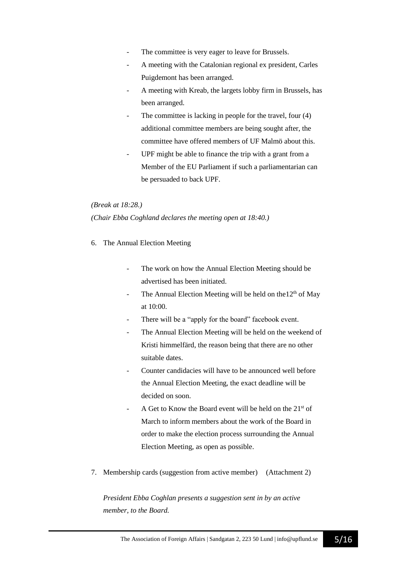- The committee is very eager to leave for Brussels.
- A meeting with the Catalonian regional ex president, Carles Puigdemont has been arranged.
- A meeting with Kreab, the largets lobby firm in Brussels, has been arranged.
- The committee is lacking in people for the travel, four (4) additional committee members are being sought after, the committee have offered members of UF Malmö about this.
- UPF might be able to finance the trip with a grant from a Member of the EU Parliament if such a parliamentarian can be persuaded to back UPF.

#### *(Break at 18:28.)*

#### *(Chair Ebba Coghland declares the meeting open at 18:40.)*

- 6. The Annual Election Meeting
	- The work on how the Annual Election Meeting should be advertised has been initiated.
	- The Annual Election Meeting will be held on the  $12<sup>th</sup>$  of May at 10:00.
	- There will be a "apply for the board" facebook event.
	- The Annual Election Meeting will be held on the weekend of Kristi himmelfärd, the reason being that there are no other suitable dates.
	- Counter candidacies will have to be announced well before the Annual Election Meeting, the exact deadline will be decided on soon.
	- A Get to Know the Board event will be held on the  $21<sup>st</sup>$  of March to inform members about the work of the Board in order to make the election process surrounding the Annual Election Meeting, as open as possible.
- 7. Membership cards (suggestion from active member) (Attachment 2)

*President Ebba Coghlan presents a suggestion sent in by an active member, to the Board.*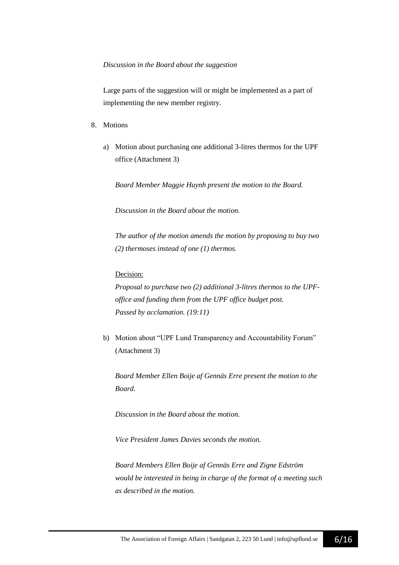#### *Discussion in the Board about the suggestion*

Large parts of the suggestion will or might be implemented as a part of implementing the new member registry.

- 8. Motions
	- a) Motion about purchasing one additional 3-litres thermos for the UPF office (Attachment 3)

*Board Member Maggie Huynh present the motion to the Board.*

*Discussion in the Board about the motion.*

*The author of the motion amends the motion by proposing to buy two (2) thermoses instead of one (1) thermos.*

#### Decision:

*Proposal to purchase two (2) additional 3-litres thermos to the UPFoffice and funding them from the UPF office budget post. Passed by acclamation. (19:11)*

b) Motion about "UPF Lund Transparency and Accountability Forum" (Attachment 3)

*Board Member Ellen Boije af Gennäs Erre present the motion to the Board.* 

*Discussion in the Board about the motion.*

*Vice President James Davies seconds the motion.*

*Board Members Ellen Boije af Gennäs Erre and Zigne Edström would be interested in being in charge of the format of a meeting such as described in the motion.*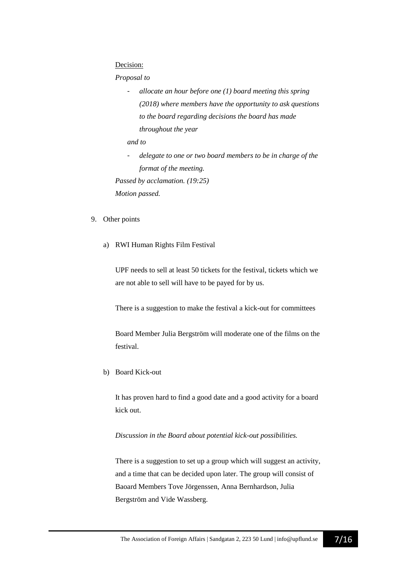#### Decision:

#### *Proposal to*

- *allocate an hour before one (1) board meeting this spring (2018) where members have the opportunity to ask questions to the board regarding decisions the board has made throughout the year*

*and to*

- *delegate to one or two board members to be in charge of the format of the meeting.* 

*Passed by acclamation. (19:25)*

*Motion passed.*

#### 9. Other points

a) RWI Human Rights Film Festival

UPF needs to sell at least 50 tickets for the festival, tickets which we are not able to sell will have to be payed for by us.

There is a suggestion to make the festival a kick-out for committees

Board Member Julia Bergström will moderate one of the films on the festival.

b) Board Kick-out

It has proven hard to find a good date and a good activity for a board kick out.

*Discussion in the Board about potential kick-out possibilities.*

There is a suggestion to set up a group which will suggest an activity, and a time that can be decided upon later. The group will consist of Baoard Members Tove Jörgenssen, Anna Bernhardson, Julia Bergström and Vide Wassberg.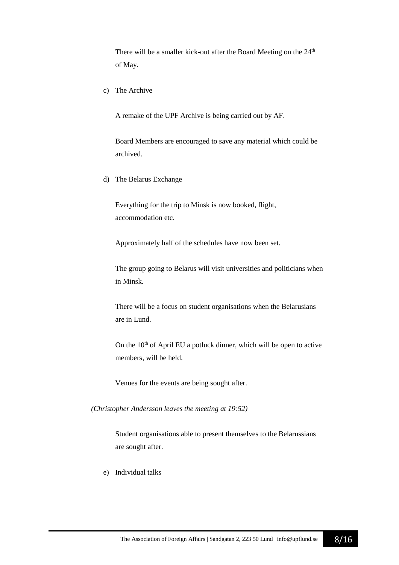There will be a smaller kick-out after the Board Meeting on the  $24<sup>th</sup>$ of May.

c) The Archive

A remake of the UPF Archive is being carried out by AF.

Board Members are encouraged to save any material which could be archived.

d) The Belarus Exchange

Everything for the trip to Minsk is now booked, flight, accommodation etc.

Approximately half of the schedules have now been set.

The group going to Belarus will visit universities and politicians when in Minsk.

There will be a focus on student organisations when the Belarusians are in Lund.

On the  $10<sup>th</sup>$  of April EU a potluck dinner, which will be open to active members, will be held.

Venues for the events are being sought after.

*(Christopher Andersson leaves the meeting at 19:52)*

Student organisations able to present themselves to the Belarussians are sought after.

e) Individual talks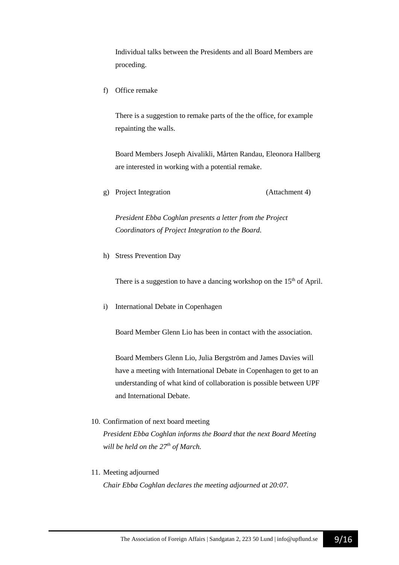Individual talks between the Presidents and all Board Members are proceding.

f) Office remake

There is a suggestion to remake parts of the the office, for example repainting the walls.

Board Members Joseph Aivalikli, Mårten Randau, Eleonora Hallberg are interested in working with a potential remake.

g) Project Integration (Attachment 4)

*President Ebba Coghlan presents a letter from the Project Coordinators of Project Integration to the Board.*

h) Stress Prevention Day

There is a suggestion to have a dancing workshop on the  $15<sup>th</sup>$  of April.

i) International Debate in Copenhagen

Board Member Glenn Lio has been in contact with the association.

Board Members Glenn Lio, Julia Bergström and James Davies will have a meeting with International Debate in Copenhagen to get to an understanding of what kind of collaboration is possible between UPF and International Debate.

10. Confirmation of next board meeting

*President Ebba Coghlan informs the Board that the next Board Meeting will be held on the 27th of March.*

11. Meeting adjourned

*Chair Ebba Coghlan declares the meeting adjourned at 20:07.*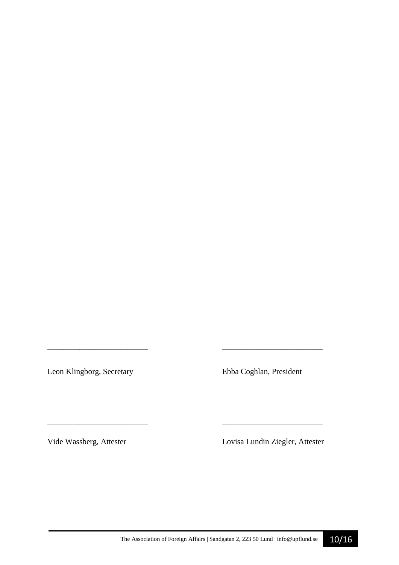Leon Klingborg, Secretary Ebba Coghlan, President

*\_\_\_\_\_\_\_\_\_\_\_\_\_\_\_\_\_\_\_\_\_\_\_\_\_ \_\_\_\_\_\_\_\_\_\_\_\_\_\_\_\_\_\_\_\_\_\_\_\_\_* 

\_\_\_\_\_\_\_\_\_\_\_\_\_\_\_\_\_\_\_\_\_\_\_\_\_ \_\_\_\_\_\_\_\_\_\_\_\_\_\_\_\_\_\_\_\_\_\_\_\_\_

Vide Wassberg, Attester Lovisa Lundin Ziegler, Attester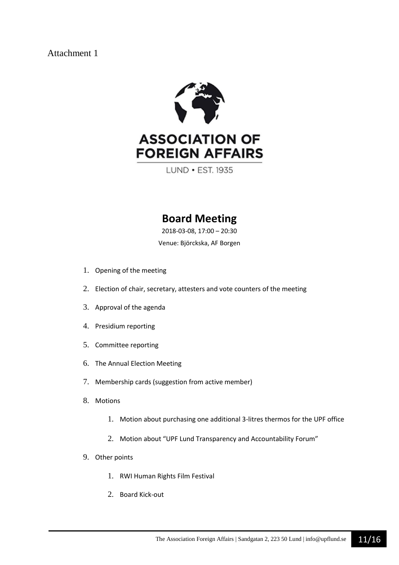

LUND . EST. 1935

## **Board Meeting**

2018-03-08, 17:00 – 20:30

Venue: Björckska, AF Borgen

- 1. Opening of the meeting
- 2. Election of chair, secretary, attesters and vote counters of the meeting
- 3. Approval of the agenda
- 4. Presidium reporting
- 5. Committee reporting
- 6. The Annual Election Meeting
- 7. Membership cards (suggestion from active member)
- 8. Motions
	- 1. Motion about purchasing one additional 3-litres thermos for the UPF office
	- 2. Motion about "UPF Lund Transparency and Accountability Forum"
- 9. Other points
	- 1. RWI Human Rights Film Festival
	- 2. Board Kick-out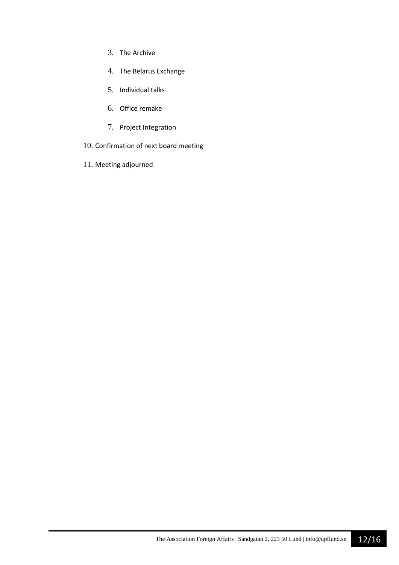- 3. The Archive
- 4. The Belarus Exchange
- 5. Individual talks
- 6. Office remake
- 7. Project Integration
- 10. Confirmation of next board meeting
- 11. Meeting adjourned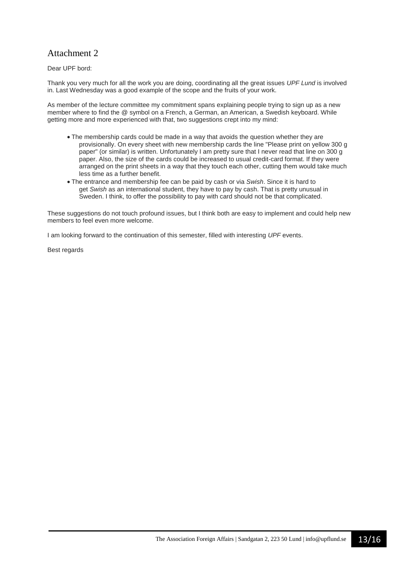Dear UPF bord:

Thank you very much for all the work you are doing, coordinating all the great issues *UPF Lund* is involved in. Last Wednesday was a good example of the scope and the fruits of your work.

As member of the lecture committee my commitment spans explaining people trying to sign up as a new member where to find the @ symbol on a French, a German, an American, a Swedish keyboard. While getting more and more experienced with that, two suggestions crept into my mind:

- The membership cards could be made in a way that avoids the question whether they are provisionally. On every sheet with new membership cards the line "Please print on yellow 300 g paper" (or similar) is written. Unfortunately I am pretty sure that I never read that line on 300 g paper. Also, the size of the cards could be increased to usual credit-card format. If they were arranged on the print sheets in a way that they touch each other, cutting them would take much less time as a further benefit.
- The entrance and membership fee can be paid by cash or via *Swish*. Since it is hard to get *Swish* as an international student, they have to pay by cash. That is pretty unusual in Sweden. I think, to offer the possibility to pay with card should not be that complicated.

These suggestions do not touch profound issues, but I think both are easy to implement and could help new members to feel even more welcome.

I am looking forward to the continuation of this semester, filled with interesting *UPF* events.

Best regards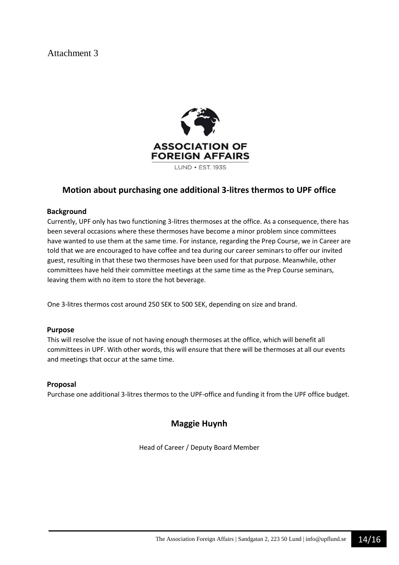

## **Motion about purchasing one additional 3-litres thermos to UPF office**

#### **Background**

Currently, UPF only has two functioning 3-litres thermoses at the office. As a consequence, there has been several occasions where these thermoses have become a minor problem since committees have wanted to use them at the same time. For instance, regarding the Prep Course, we in Career are told that we are encouraged to have coffee and tea during our career seminars to offer our invited guest, resulting in that these two thermoses have been used for that purpose. Meanwhile, other committees have held their committee meetings at the same time as the Prep Course seminars, leaving them with no item to store the hot beverage.

One 3-litres thermos cost around 250 SEK to 500 SEK, depending on size and brand.

#### **Purpose**

This will resolve the issue of not having enough thermoses at the office, which will benefit all committees in UPF. With other words, this will ensure that there will be thermoses at all our events and meetings that occur at the same time.

#### **Proposal**

Purchase one additional 3-litres thermos to the UPF-office and funding it from the UPF office budget.

## **Maggie Huynh**

Head of Career / Deputy Board Member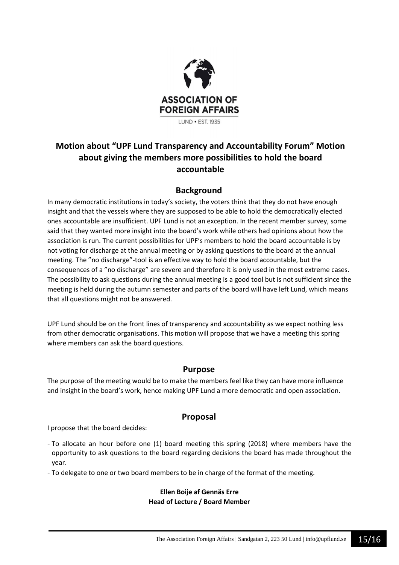

## **Motion about "UPF Lund Transparency and Accountability Forum" Motion about giving the members more possibilities to hold the board accountable**

## **Background**

In many democratic institutions in today's society, the voters think that they do not have enough insight and that the vessels where they are supposed to be able to hold the democratically elected ones accountable are insufficient. UPF Lund is not an exception. In the recent member survey, some said that they wanted more insight into the board's work while others had opinions about how the association is run. The current possibilities for UPF's members to hold the board accountable is by not voting for discharge at the annual meeting or by asking questions to the board at the annual meeting. The "no discharge"-tool is an effective way to hold the board accountable, but the consequences of a "no discharge" are severe and therefore it is only used in the most extreme cases. The possibility to ask questions during the annual meeting is a good tool but is not sufficient since the meeting is held during the autumn semester and parts of the board will have left Lund, which means that all questions might not be answered.

UPF Lund should be on the front lines of transparency and accountability as we expect nothing less from other democratic organisations. This motion will propose that we have a meeting this spring where members can ask the board questions.

### **Purpose**

The purpose of the meeting would be to make the members feel like they can have more influence and insight in the board's work, hence making UPF Lund a more democratic and open association.

## **Proposal**

I propose that the board decides:

- To allocate an hour before one (1) board meeting this spring (2018) where members have the opportunity to ask questions to the board regarding decisions the board has made throughout the year.
- To delegate to one or two board members to be in charge of the format of the meeting.

#### **Ellen Boije af Gennäs Erre Head of Lecture / Board Member**